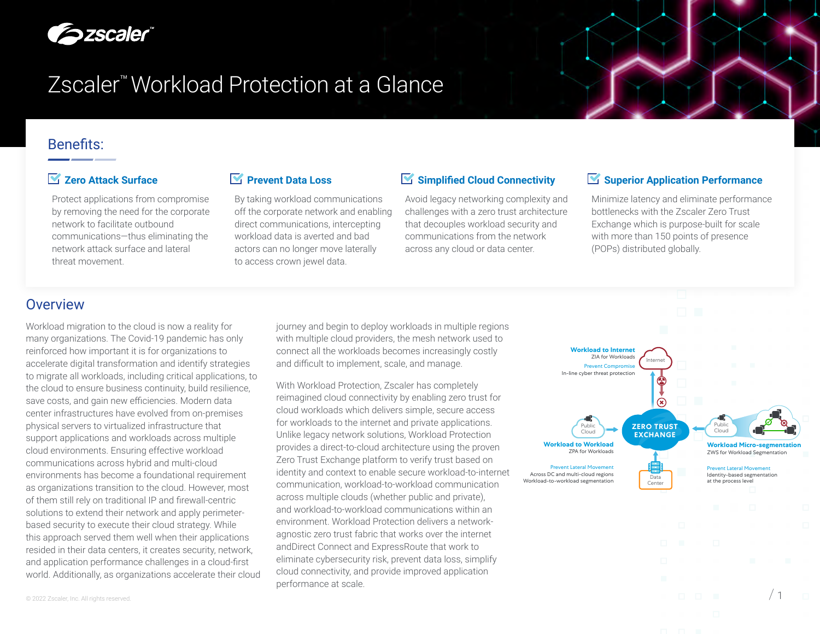

# Zscaler™Workload Protection at a Glance

## Benefits:

Protect applications from compromise by removing the need for the corporate network to facilitate outbound communications—thus eliminating the network attack surface and lateral threat movement.

By taking workload communications off the corporate network and enabling direct communications, intercepting workload data is averted and bad actors can no longer move laterally to access crown jewel data.

Avoid legacy networking complexity and challenges with a zero trust architecture that decouples workload security and communications from the network across any cloud or data center.

## **<u>■</u> Zero Attack Surface ■ ■ Prevent Data Loss ■ Simplified Cloud Connectivity ■ Superior Application Performance**

Minimize latency and eliminate performance bottlenecks with the Zscaler Zero Trust Exchange which is purpose-built for scale with more than 150 points of presence (POPs) distributed globally.

## **Overview**

Workload migration to the cloud is now a reality for many organizations. The Covid-19 pandemic has only reinforced how important it is for organizations to accelerate digital transformation and identify strategies to migrate all workloads, including critical applications, to the cloud to ensure business continuity, build resilience, save costs, and gain new efficiencies. Modern data center infrastructures have evolved from on-premises physical servers to virtualized infrastructure that support applications and workloads across multiple cloud environments. Ensuring effective workload communications across hybrid and multi-cloud environments has become a foundational requirement as organizations transition to the cloud. However, most of them still rely on traditional IP and firewall-centric solutions to extend their network and apply perimeterbased security to execute their cloud strategy. While this approach served them well when their applications resided in their data centers, it creates security, network, and application performance challenges in a cloud-first world. Additionally, as organizations accelerate their cloud journey and begin to deploy workloads in multiple regions with multiple cloud providers, the mesh network used to connect all the workloads becomes increasingly costly and difficult to implement, scale, and manage.

With Workload Protection, Zscaler has completely reimagined cloud connectivity by enabling zero trust for cloud workloads which delivers simple, secure access for workloads to the internet and private applications. Unlike legacy network solutions, Workload Protection provides a direct-to-cloud architecture using the proven Zero Trust Exchange platform to verify trust based on identity and context to enable secure workload-to-internet communication, workload-to-workload communication across multiple clouds (whether public and private), and workload-to-workload communications within an environment. Workload Protection delivers a networkagnostic zero trust fabric that works over the internet andDirect Connect and ExpressRoute that work to eliminate cybersecurity risk, prevent data loss, simplify cloud connectivity, and provide improved application performance at scale.



© 2022 Zscaler, Inc. All rights reserved.  $\hskip 1.6cm \fbox{1}$